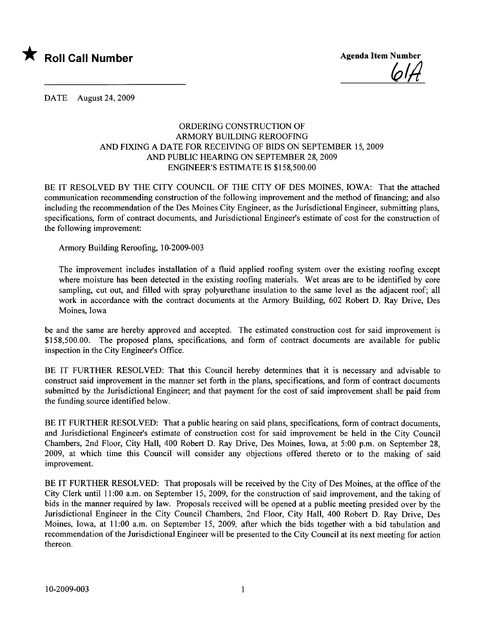

<u>lo I H</u>

DATE August 24, 2009

## ORDERING CONSTRUCTION OF ARMORY BUILDING REROOFING AND FIXING A DATE FOR RECEIVING OF BIDS ON SEPTEMBER 15, 2009 AND PUBLIC HEARIG ON SEPTEMBER 28, 2009 ENGINEER'S ESTIMATE IS \$158,500.00

BE IT RESOLVED BY THE CITY COUNCIL OF THE CITY OF DES MOINES, IOWA: That the attached communication recommending construction of the following improvement and the method of financing; and also including the recommendation of the Des Moines City Engineer, as the Jurisdictional Engineer, submitting plans, specifications, form of contract documents, and Jurisdictional Engineer's estimate of cost for the construction of the following improvement:

Armory Building Reroofing, 10-2009-003

The improvement includes installation of a fluid applied roofing system over the existing roofing except where moisture has been detected in the existing roofing materials. Wet areas are to be identified by core sampling, cut out, and filled with spray polyurethane insulation to the same level as the adjacent roof; all work in accordance with the contract documents at the Armory Building, 602 Robert D. Ray Drive, Des Moines, Iowa

be and the same are hereby approved and accepted. The estimated construction cost for said improvement is \$158,500.00. The proposed plans, specifications, and form of contract documents are available for public inspection in the City Engineer's Office.

BE IT FURTHER RESOLVED: That this Council hereby determines that it is necessary and advisable to construct said improvement in the manner set forth in the plans, specifications, and form of contract documents submitted by the Jurisdictional Engineer; and that payment for the cost of said improvement shall be paid from the funding source identified below.

BE IT FURTHER RESOLVED: That a public hearing on said plans, specifications, form of contract documents, and Jurisdictional Engineer's estimate of construction cost for said improvement be held in the City Council Chambers, 2nd Floor, City Hall, 400 Robert D. Ray Drive, Des Moines, Iowa, at 5:00 p.m. on September 28, 2009, at which time this Council will consider any objections offered thereto or to the making of said improvement.

BE IT FURTHER RESOLVED: That proposals will be received by the City of Des Moines, at the office of the City Clerk until 11 :00 a.m. on September 15, 2009, for the construction of said improvement, and the taking of bids in the manner required by law. Proposals received will be opened at a public meeting presided over by the Jurisdictional Engineer in the City Council Chambers, 2nd Floor, City Hall, 400 Robert D. Ray Drive, Des Moines, Iowa, at 11 :00 a.m. on September 15, 2009, after which the bids together with a bid tabulation and recommendation of the Jurisdictional Engineer will be presented to the City Council at its next meeting for action thereon.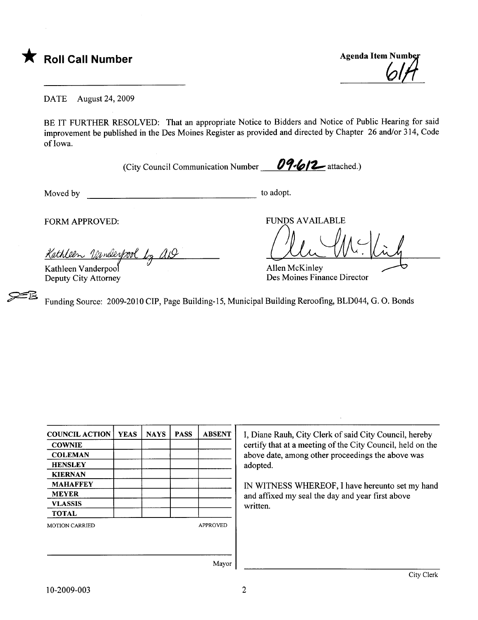

**Agenda Item Number** 

DATE August 24, 2009

BE IT FURTHER RESOLVED: That an appropriate Notice to Bidders and Notice of Public Hearing for said improvement be published in the Des Moines Register as provided and directed by Chapter 26 and/or 314, Code of Iowa.

(City Council Communication Number  $\frac{09.612}{\cdot}$  attached.)

Moved by to adopt.

**25** 

FORM APPROVED:

Kathleen Vanderpool by AD

Kathleen Vanderpool Deputy City Attorney FUNDS AVAILABLE

 $\sqrt{M}$ 

Allen McKinley Des Moines Finance Director

Funding Source: 2009-2010 CIP, Page Building-IS, Municipal Building Reroofing, BLD044, G. O. Bonds

| <b>COUNCIL ACTION</b> | <b>YEAS</b> | <b>NAYS</b> | <b>PASS</b> | <b>ABSENT</b>   |
|-----------------------|-------------|-------------|-------------|-----------------|
| <b>COWNIE</b>         |             |             |             |                 |
| <b>COLEMAN</b>        |             |             |             |                 |
| <b>HENSLEY</b>        |             |             |             |                 |
| <b>KIERNAN</b>        |             |             |             |                 |
| <b>MAHAFFEY</b>       |             |             |             |                 |
| <b>MEYER</b>          |             |             |             |                 |
| <b>VLASSIS</b>        |             |             |             |                 |
| <b>TOTAL</b>          |             |             |             |                 |
| <b>MOTION CARRIED</b> |             |             |             | <b>APPROVED</b> |
|                       |             |             |             |                 |
|                       |             |             |             |                 |
|                       |             |             |             | $\mathbf{r}$    |

I, Diane Rauh, City Clerk of said City Council, hereby certify that at a meeting of the City Council, held on the above date, among other proceedings the above was adopted.

IN WITNESS WHEREOF, I have hereunto set my hand and affxed my seal the day and year first above written.

Mayor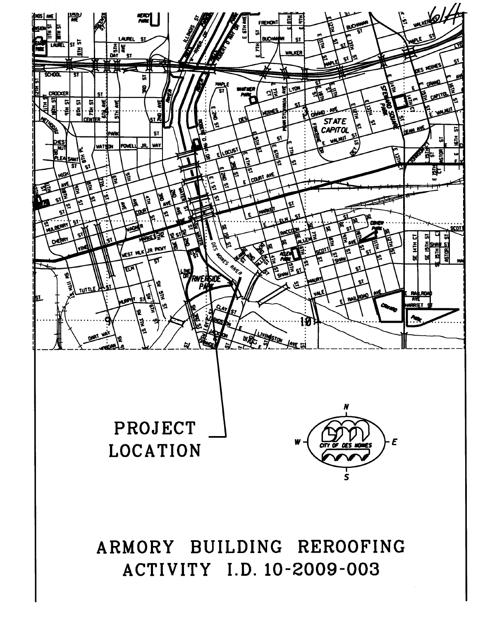